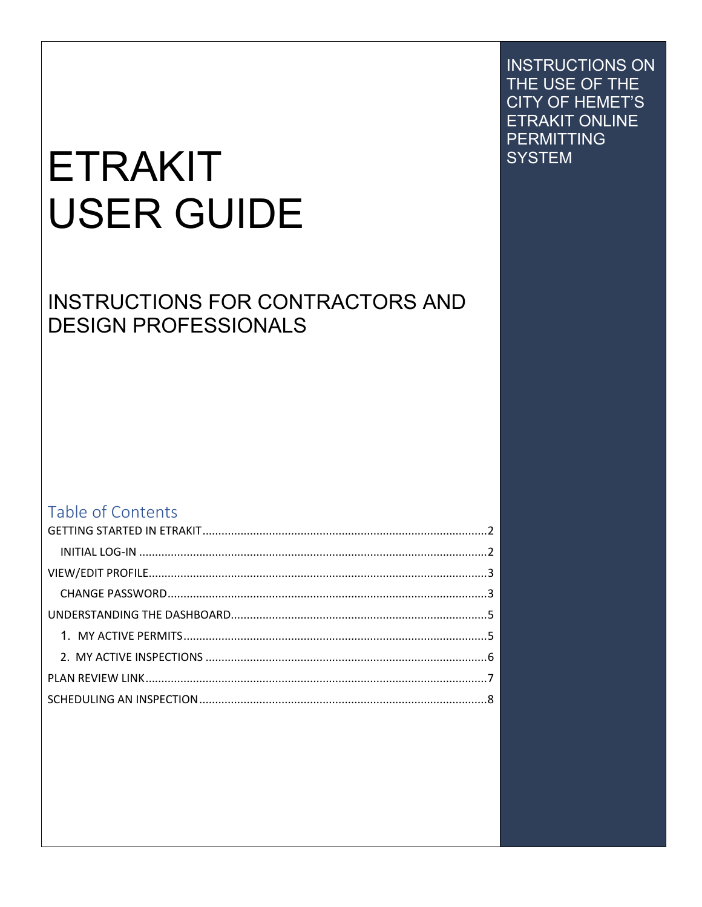# **ETRAKIT USER GUIDE**

# **INSTRUCTIONS FOR CONTRACTORS AND DESIGN PROFESSIONALS**

#### Table of Contents

**INSTRUCTIONS ON** THE USE OF THE **CITY OF HEMET'S ETRAKIT ONLINE PERMITTING SYSTEM**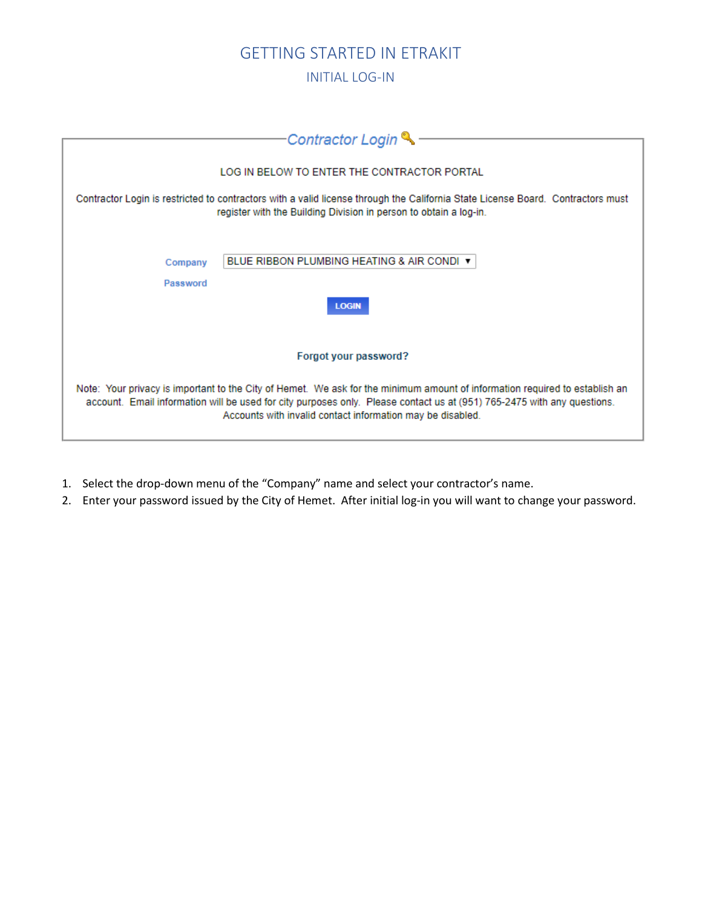#### GETTING STARTED IN ETRAKIT

INITIAL LOG-IN

<span id="page-1-1"></span><span id="page-1-0"></span>

| Contractor Login                                                                                                                                                                                                                                                                                                     |
|----------------------------------------------------------------------------------------------------------------------------------------------------------------------------------------------------------------------------------------------------------------------------------------------------------------------|
|                                                                                                                                                                                                                                                                                                                      |
| LOG IN BELOW TO ENTER THE CONTRACTOR PORTAL                                                                                                                                                                                                                                                                          |
| Contractor Login is restricted to contractors with a valid license through the California State License Board. Contractors must<br>register with the Building Division in person to obtain a log-in.                                                                                                                 |
| BLUE RIBBON PLUMBING HEATING & AIR CONDI ▼<br>Company<br>Password                                                                                                                                                                                                                                                    |
| <b>LOGIN</b>                                                                                                                                                                                                                                                                                                         |
|                                                                                                                                                                                                                                                                                                                      |
| Forgot your password?                                                                                                                                                                                                                                                                                                |
|                                                                                                                                                                                                                                                                                                                      |
| Note: Your privacy is important to the City of Hemet. We ask for the minimum amount of information required to establish an<br>account. Email information will be used for city purposes only. Please contact us at (951) 765-2475 with any questions.<br>Accounts with invalid contact information may be disabled. |

- 1. Select the drop-down menu of the "Company" name and select your contractor's name.
- 2. Enter your password issued by the City of Hemet. After initial log-in you will want to change your password.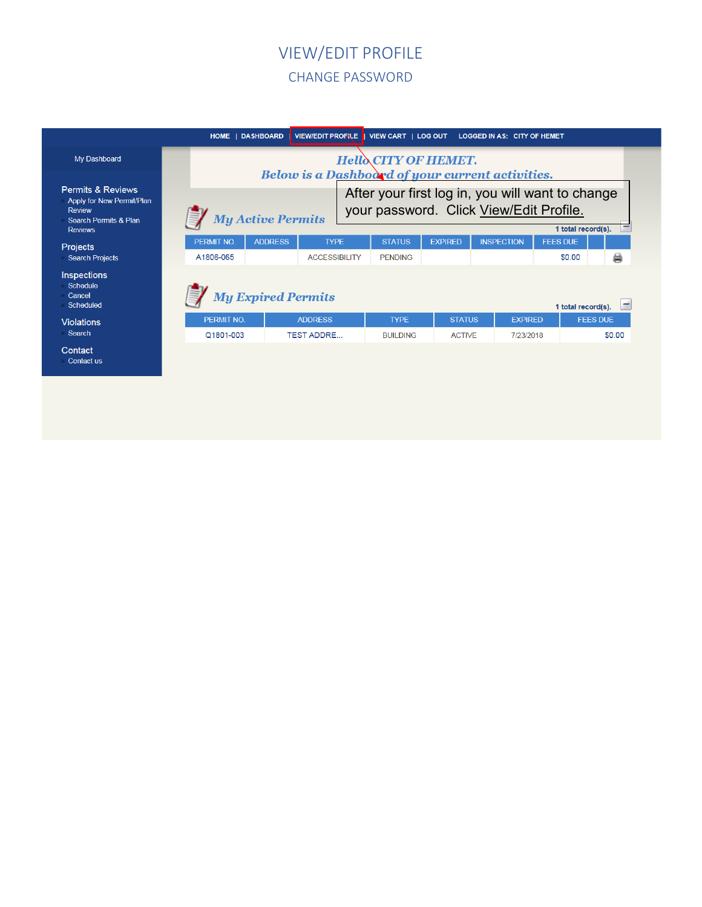#### <span id="page-2-1"></span>VIEW/EDIT PROFILE CHANGE PASSWORD

#### <span id="page-2-0"></span>HOME | DASHBOARD | VIEW/EDIT PROFILE | VIEW CART | LOG OUT LOGGED IN AS: CITY OF HEMET My Dashboard **HelloCITY OF HEMET.** Below is a Dashboord of your current activities. Permits & Reviews After your first log in, you will want to change Apply for New Permit/Plan your password. Click View/Edit Profile.Review  $\mathbb{Z}/M$  My Active Permits Search Permits & Plan 1 total record(s). Reviews PERMIT NO. ADDRESS **TYPE STATUS EXPIRED INSPECTION FEES DUE** Projects Search Projects A1806-065 **ACCESSIBILITY PENDING** \$0.00 曲 Inspections Schedule **My Expired Permits** Cancel Scheduled 1 total record(s).  $\Box$ PERMIT NO. **ADDRESS STATUS EXPIRED FEES DUE TYPE** Violations Search Q1801-003 TEST ADDRE... **BUILDING ACTIVE** 7/23/2018 \$0.00 Contact Contact us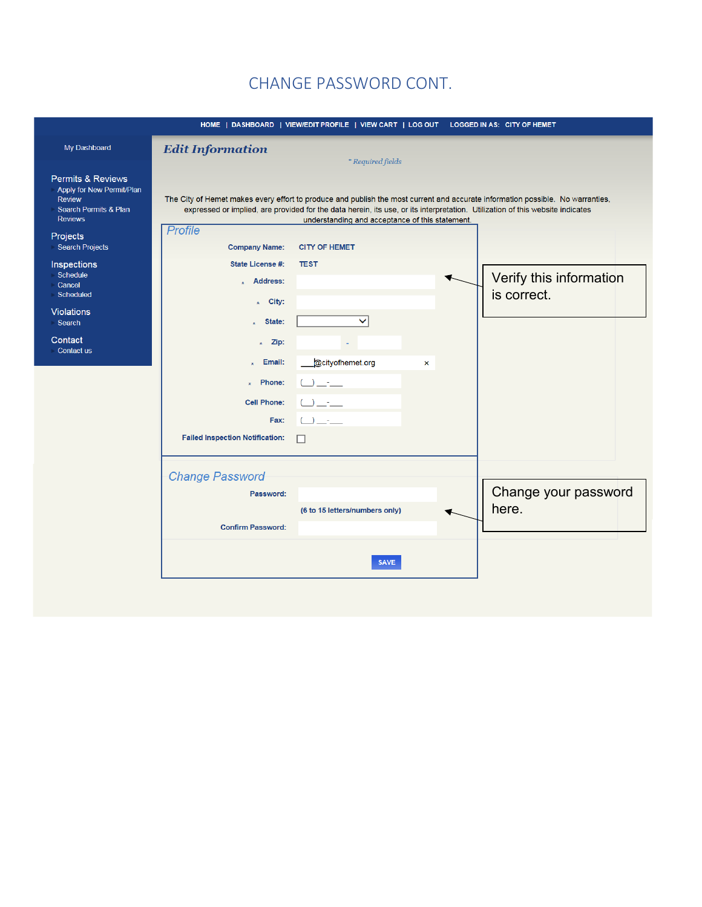#### CHANGE PASSWORD CONT.

|                                                                                                                                  |                                        | HOME   DASHBOARD   VIEW/EDIT PROFILE   VIEW CART   LOG OUT LOGGED IN AS: CITY OF HEMET                                                                                                                                                                                                                             |                         |
|----------------------------------------------------------------------------------------------------------------------------------|----------------------------------------|--------------------------------------------------------------------------------------------------------------------------------------------------------------------------------------------------------------------------------------------------------------------------------------------------------------------|-------------------------|
| My Dashboard                                                                                                                     | <b>Edit Information</b>                | *Required fields                                                                                                                                                                                                                                                                                                   |                         |
| <b>Permits &amp; Reviews</b><br>Apply for New Permit/Plan<br><b>Review</b><br><b>Search Permits &amp; Plan</b><br><b>Reviews</b> |                                        | The City of Hemet makes every effort to produce and publish the most current and accurate information possible. No warranties,<br>expressed or implied, are provided for the data herein, its use, or its interpretation. Utilization of this website indicates<br>understanding and acceptance of this statement. |                         |
| Projects                                                                                                                         | <b>Profile</b>                         |                                                                                                                                                                                                                                                                                                                    |                         |
| <b>Search Projects</b>                                                                                                           | <b>Company Name:</b>                   | <b>CITY OF HEMET</b>                                                                                                                                                                                                                                                                                               |                         |
| Inspections                                                                                                                      | State License #:                       | <b>TEST</b>                                                                                                                                                                                                                                                                                                        |                         |
| Schedule<br>Cancel                                                                                                               | $\star$ Address:                       |                                                                                                                                                                                                                                                                                                                    | Verify this information |
| Scheduled                                                                                                                        |                                        |                                                                                                                                                                                                                                                                                                                    | is correct.             |
| <b>Violations</b>                                                                                                                | $\star$ City:                          |                                                                                                                                                                                                                                                                                                                    |                         |
| <b>Search</b>                                                                                                                    | State:<br>x                            | $\checkmark$                                                                                                                                                                                                                                                                                                       |                         |
| Contact                                                                                                                          | Zip:<br>$\star$                        |                                                                                                                                                                                                                                                                                                                    |                         |
| Contact us                                                                                                                       |                                        |                                                                                                                                                                                                                                                                                                                    |                         |
|                                                                                                                                  | Email:                                 | @cityofhemet.org<br>×                                                                                                                                                                                                                                                                                              |                         |
|                                                                                                                                  | Phone:<br>÷                            | $\cup$ $\_\dots$                                                                                                                                                                                                                                                                                                   |                         |
|                                                                                                                                  | <b>Cell Phone:</b>                     | $\begin{array}{c} \square \ \square \ \square \end{array}$                                                                                                                                                                                                                                                         |                         |
|                                                                                                                                  | Fax:                                   | $\bigcup \underbrace{\qquad \qquad }$                                                                                                                                                                                                                                                                              |                         |
|                                                                                                                                  |                                        |                                                                                                                                                                                                                                                                                                                    |                         |
|                                                                                                                                  | <b>Failed Inspection Notification:</b> | П                                                                                                                                                                                                                                                                                                                  |                         |
|                                                                                                                                  | <b>Change Password</b>                 |                                                                                                                                                                                                                                                                                                                    |                         |
|                                                                                                                                  |                                        |                                                                                                                                                                                                                                                                                                                    | Change your password    |
|                                                                                                                                  | Password:                              |                                                                                                                                                                                                                                                                                                                    |                         |
|                                                                                                                                  |                                        | (6 to 15 letters/numbers only)                                                                                                                                                                                                                                                                                     | here.                   |
|                                                                                                                                  | <b>Confirm Password:</b>               |                                                                                                                                                                                                                                                                                                                    |                         |
|                                                                                                                                  |                                        | <b>SAVE</b>                                                                                                                                                                                                                                                                                                        |                         |
|                                                                                                                                  |                                        |                                                                                                                                                                                                                                                                                                                    |                         |
|                                                                                                                                  |                                        |                                                                                                                                                                                                                                                                                                                    |                         |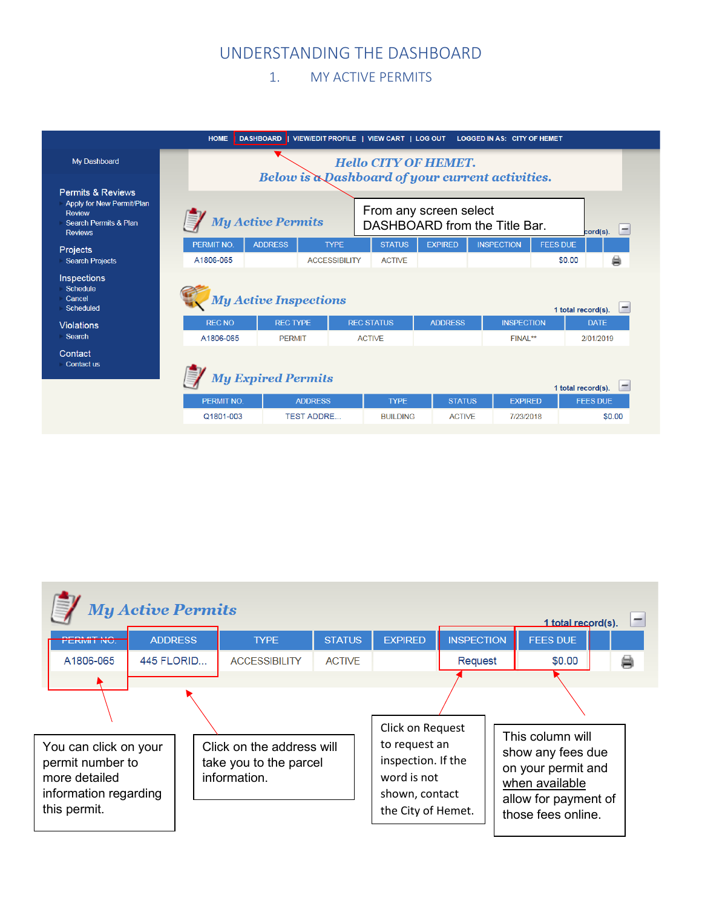#### UNDERSTANDING THE DASHBOARD

#### <span id="page-4-1"></span>1. MY ACTIVE PERMITS

<span id="page-4-0"></span>

|                                                                                                                       | <b>HOME</b>                   | <b>DASHBOARD</b>                                      |                                |                             | VIEW/EDIT PROFILE   VIEW CART   LOG OUT LOGGED IN AS: CITY OF HEMET |                 |                    |           |
|-----------------------------------------------------------------------------------------------------------------------|-------------------------------|-------------------------------------------------------|--------------------------------|-----------------------------|---------------------------------------------------------------------|-----------------|--------------------|-----------|
| My Dashboard                                                                                                          |                               | Below is a Dashboard of your current activities.      |                                | <b>Hello CITY OF HEMET.</b> |                                                                     |                 |                    |           |
| <b>Permits &amp; Reviews</b><br>Apply for New Permit/Plan<br><b>Review</b><br>Search Permits & Plan<br><b>Reviews</b> |                               | <b>My Active Permits</b>                              |                                | From any screen select      | DASHBOARD from the Title Bar.                                       |                 | cord(s).           | $\vert -$ |
| <b>Projects</b><br><b>Search Projects</b>                                                                             | <b>PERMIT NO</b><br>A1806-065 | <b>ADDRESS</b><br><b>TYPE</b><br><b>ACCESSIBILITY</b> | <b>STATUS</b><br><b>ACTIVE</b> | <b>EXPIRED</b>              | <b>INSPECTION</b>                                                   | <b>FEES DUE</b> | \$0.00             | ⊜         |
| Inspections<br>Schedule<br>Cancel<br><b>Scheduled</b>                                                                 |                               | <b>My Active Inspections</b>                          |                                |                             |                                                                     |                 | 1 total record(s). |           |
| <b>Violations</b>                                                                                                     | <b>REC NO</b>                 | <b>REC TYPE</b>                                       | <b>REC STATUS</b>              | <b>ADDRESS</b>              | <b>INSPECTION</b>                                                   |                 | <b>DATE</b>        |           |
| Search                                                                                                                | A1806-065                     | <b>PFRMIT</b>                                         | <b>ACTIVE</b>                  |                             | FINAI <sup>**</sup>                                                 |                 | 2/01/2019          |           |
| Contact<br>Contact us                                                                                                 |                               | <b>My Expired Permits</b>                             |                                |                             |                                                                     |                 | 1 total record(s). |           |
|                                                                                                                       | <b>PERMIT NO.</b>             | <b>ADDRESS</b>                                        | <b>TYPE</b>                    | <b>STATUS</b>               | <b>EXPIRED</b>                                                      |                 | <b>FEES DUE</b>    |           |
|                                                                                                                       | Q1801-003                     | <b>TEST ADDRE</b>                                     | <b>BUILDING</b>                | <b>ACTIVE</b>               | 7/23/2018                                                           |                 |                    | \$0.00    |

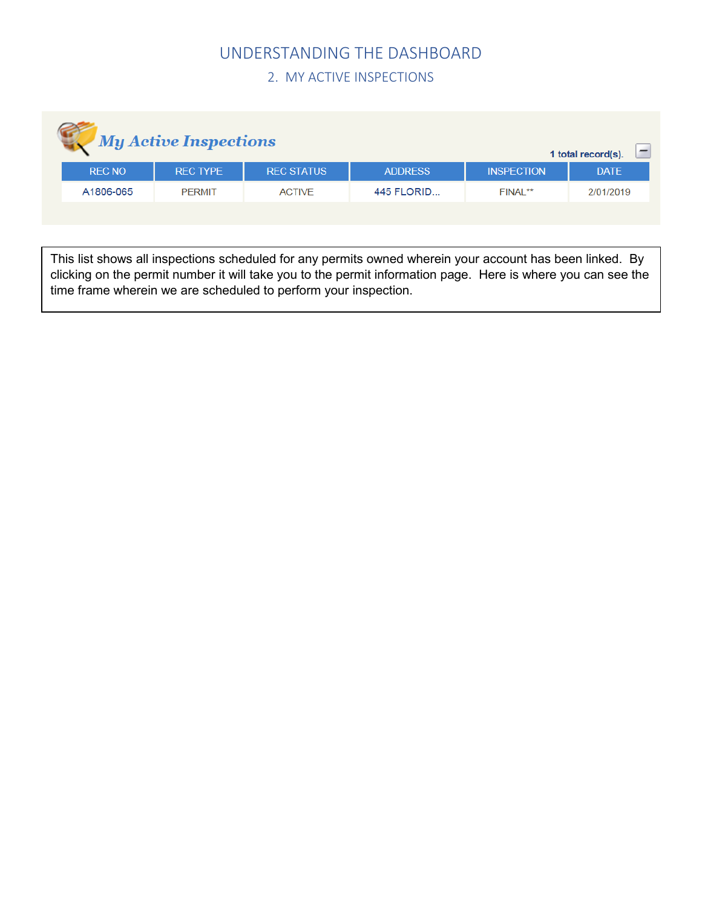## UNDERSTANDING THE DASHBOARD

2. MY ACTIVE INSPECTIONS

<span id="page-5-0"></span>

| <b>My Active Inspections</b> |               |                 |                   |                | 1 total record(s).  |             |
|------------------------------|---------------|-----------------|-------------------|----------------|---------------------|-------------|
|                              | <b>REC NO</b> | <b>REC TYPE</b> | <b>REC STATUS</b> | <b>ADDRESS</b> | <b>INSPECTION</b>   | <b>DATE</b> |
|                              | A1806-065     | <b>PFRMIT</b>   | <b>ACTIVE</b>     | 445 FLORID     | FINAI <sup>**</sup> | 2/01/2019   |

This list shows all inspections scheduled for any permits owned wherein your account has been linked. By clicking on the permit number it will take you to the permit information page. Here is where you can see the time frame wherein we are scheduled to perform your inspection.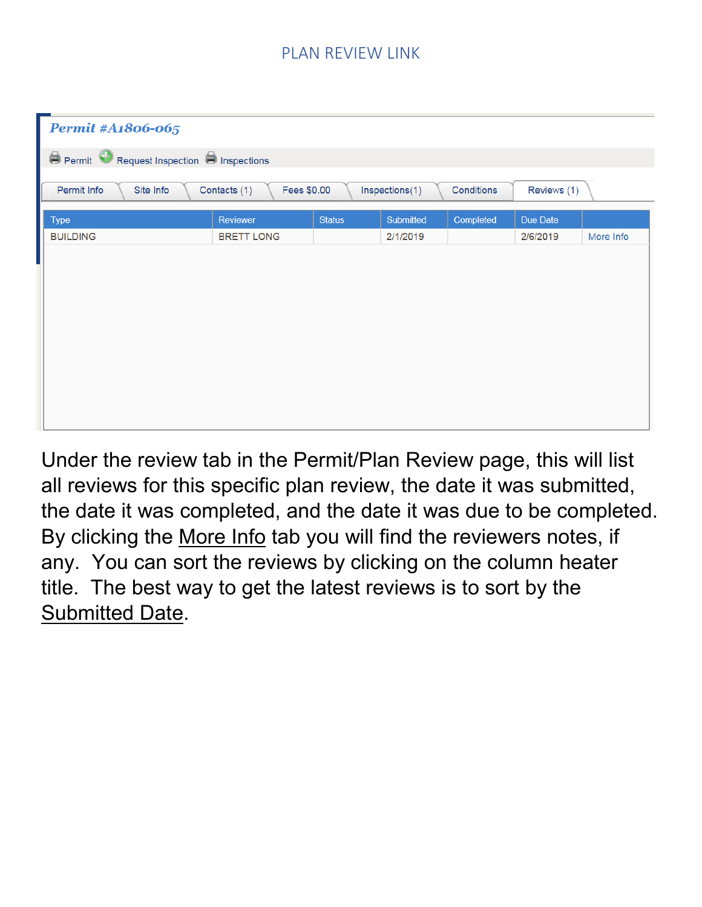### PLAN REVIEW LINK

<span id="page-6-0"></span>

| <b>Permit #A1806-065</b>                |                             |               |                |            |             |           |
|-----------------------------------------|-----------------------------|---------------|----------------|------------|-------------|-----------|
| Permit Request Inspection P Inspections |                             |               |                |            |             |           |
| Permit Info<br>Site Info                | Contacts (1)<br>Fees \$0.00 |               | Inspections(1) | Conditions | Reviews (1) |           |
| <b>Type</b>                             | Reviewer                    | <b>Status</b> | Submitted      | Completed  | Due Date    |           |
| <b>BUILDING</b>                         | <b>BRETT LONG</b>           |               | 2/1/2019       |            | 2/6/2019    | More Info |
|                                         |                             |               |                |            |             |           |
|                                         |                             |               |                |            |             |           |
|                                         |                             |               |                |            |             |           |
|                                         |                             |               |                |            |             |           |
|                                         |                             |               |                |            |             |           |
|                                         |                             |               |                |            |             |           |
|                                         |                             |               |                |            |             |           |
|                                         |                             |               |                |            |             |           |

Under the review tab in the Permit/Plan Review page, this will list all reviews for this specific plan review, the date it was submitted, the date it was completed, and the date it was due to be completed. By clicking the More Info tab you will find the reviewers notes, if any. You can sort the reviews by clicking on the column heater title. The best way to get the latest reviews is to sort by the Submitted Date.